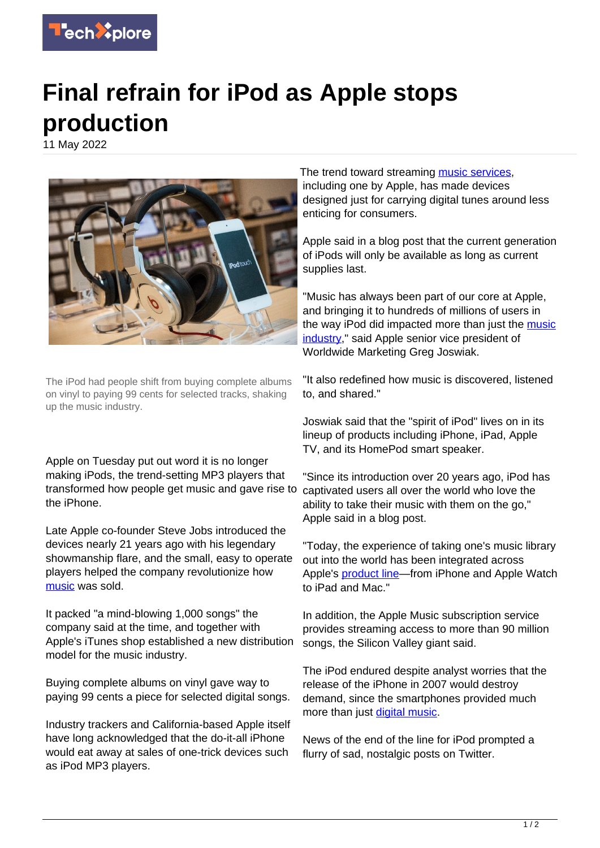

## **Final refrain for iPod as Apple stops production**

11 May 2022



The iPod had people shift from buying complete albums on vinyl to paying 99 cents for selected tracks, shaking up the music industry.

Apple on Tuesday put out word it is no longer making iPods, the trend-setting MP3 players that transformed how people get music and gave rise to captivated users all over the world who love the the iPhone.

Late Apple co-founder Steve Jobs introduced the devices nearly 21 years ago with his legendary showmanship flare, and the small, easy to operate players helped the company revolutionize how [music](https://techxplore.com/tags/music/) was sold.

It packed "a mind-blowing 1,000 songs" the company said at the time, and together with Apple's iTunes shop established a new distribution model for the music industry.

Buying complete albums on vinyl gave way to paying 99 cents a piece for selected digital songs.

Industry trackers and California-based Apple itself have long acknowledged that the do-it-all iPhone would eat away at sales of one-trick devices such as iPod MP3 players.

The trend toward streaming [music services](https://techxplore.com/tags/music+services/). including one by Apple, has made devices designed just for carrying digital tunes around less enticing for consumers.

Apple said in a blog post that the current generation of iPods will only be available as long as current supplies last.

"Music has always been part of our core at Apple, and bringing it to hundreds of millions of users in the way iPod did impacted more than just the [music](https://techxplore.com/tags/music+industry/) [industry,](https://techxplore.com/tags/music+industry/)" said Apple senior vice president of Worldwide Marketing Greg Joswiak.

"It also redefined how music is discovered, listened to, and shared."

Joswiak said that the "spirit of iPod" lives on in its lineup of products including iPhone, iPad, Apple TV, and its HomePod smart speaker.

"Since its introduction over 20 years ago, iPod has ability to take their music with them on the go," Apple said in a blog post.

"Today, the experience of taking one's music library out into the world has been integrated across Apple's [product line](https://techxplore.com/tags/product+line/)—from iPhone and Apple Watch to iPad and Mac."

In addition, the Apple Music subscription service provides streaming access to more than 90 million songs, the Silicon Valley giant said.

The iPod endured despite analyst worries that the release of the iPhone in 2007 would destroy demand, since the smartphones provided much more than just [digital music.](https://techxplore.com/tags/digital+music/)

News of the end of the line for iPod prompted a flurry of sad, nostalgic posts on Twitter.